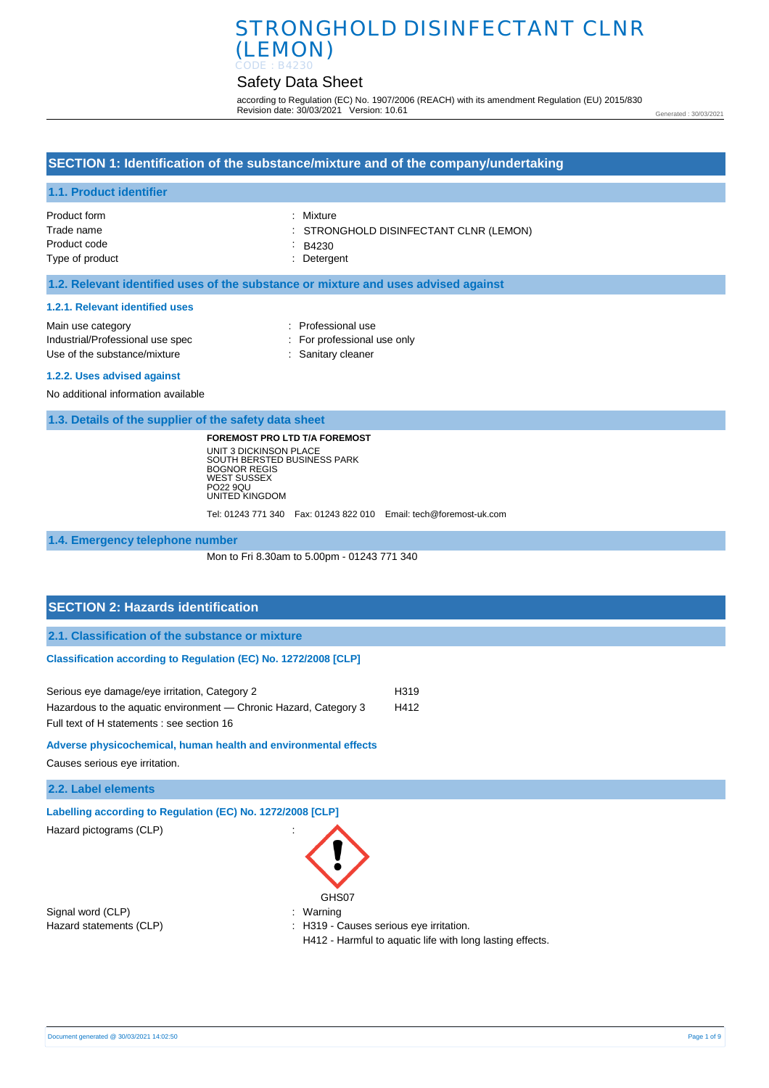# Safety Data Sheet

according to Regulation (EC) No. 1907/2006 (REACH) with its amendment Regulation (EU) 2015/830 Revision date: 30/03/2021 Version: 10.61

Generated : 30/03/2021

### **SECTION 1: Identification of the substance/mixture and of the company/undertaking**

### **1.1. Product identifier**

| Product form    | : Mixture                              |
|-----------------|----------------------------------------|
| Trade name      | : STRONGHOLD DISINFECTANT CLNR (LEMON) |
| Product code    | $\therefore$ B4230                     |
| Type of product | : Detergent                            |

### **1.2. Relevant identified uses of the substance or mixture and uses advised against**

#### **1.2.1. Relevant identified uses**

| : For professional use only |
|-----------------------------|
|                             |
|                             |

#### **1.2.2. Uses advised against**

No additional information available

**1.3. Details of the supplier of the safety data sheet**

**FOREMOST PRO LTD T/A FOREMOST** UNIT 3 DICKINSON PLACE SOUTH BERSTED BUSINESS PARK BOGNOR REGIS WEST SUSSEX PO22 9QU UNITED KINGDOM

Tel: 01243 771 340 Fax: 01243 822 010 Email: tech@foremost-uk.com

**1.4. Emergency telephone number**

Mon to Fri 8.30am to 5.00pm - 01243 771 340

## **SECTION 2: Hazards identification**

**2.1. Classification of the substance or mixture**

#### **Classification according to Regulation (EC) No. 1272/2008 [CLP]**

| Serious eye damage/eye irritation, Category 2                     | H319 |
|-------------------------------------------------------------------|------|
| Hazardous to the aquatic environment — Chronic Hazard, Category 3 | H412 |
| Full text of H statements : see section 16                        |      |

#### **Adverse physicochemical, human health and environmental effects**

Causes serious eye irritation.

**2.2. Label elements**

**Labelling according to Regulation (EC) No. 1272/2008 [CLP]** 

Hazard pictograms (CLP) :

Signal word (CLP)  $\qquad \qquad$ : Warning

GHS<sub>07</sub>

Hazard statements (CLP)  $\qquad \qquad$ : H319 - Causes serious eye irritation.

H412 - Harmful to aquatic life with long lasting effects.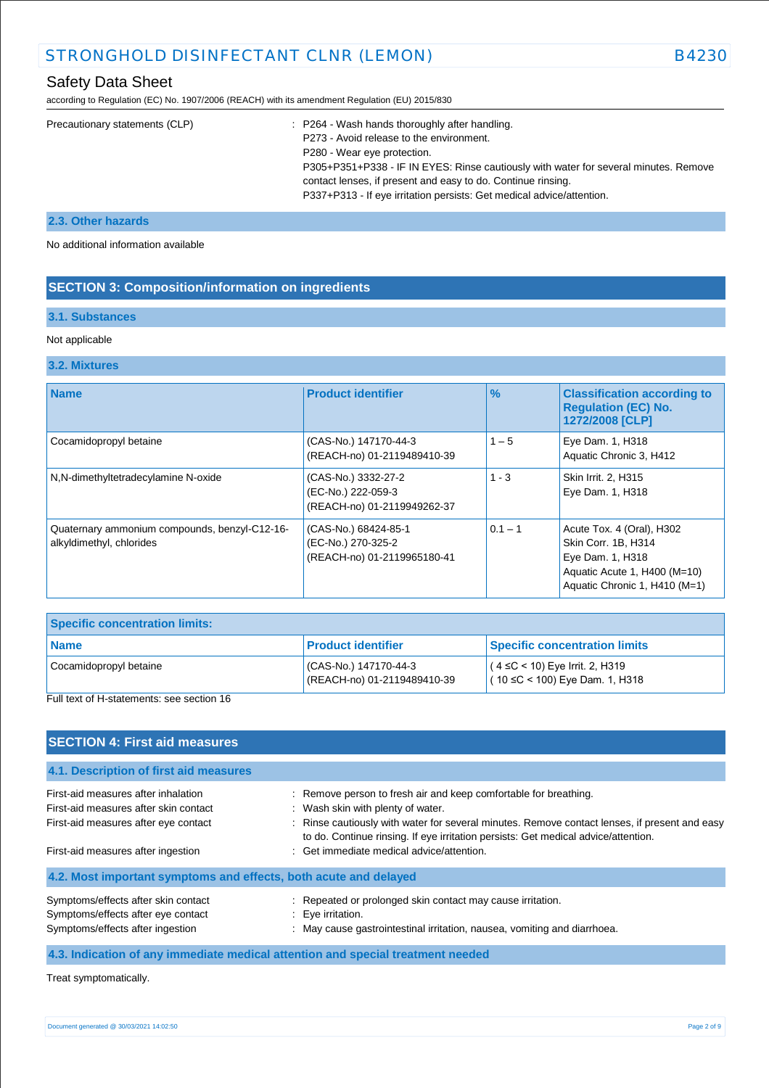# Safety Data Sheet

according to Regulation (EC) No. 1907/2006 (REACH) with its amendment Regulation (EU) 2015/830

| Precautionary statements (CLP) | : P264 - Wash hands thoroughly after handling.<br>P273 - Avoid release to the environment.<br>P280 - Wear eye protection.<br>P305+P351+P338 - IF IN EYES: Rinse cautiously with water for several minutes. Remove |
|--------------------------------|-------------------------------------------------------------------------------------------------------------------------------------------------------------------------------------------------------------------|
|                                | contact lenses, if present and easy to do. Continue rinsing.                                                                                                                                                      |
|                                | P337+P313 - If eye irritation persists: Get medical advice/attention.                                                                                                                                             |
|                                |                                                                                                                                                                                                                   |

### **2.3. Other hazards**

No additional information available

### **SECTION 3: Composition/information on ingredients**

# **3.1. Substances**

#### Not applicable

#### **3.2. Mixtures**

| <b>Name</b>                                                               | <b>Product identifier</b>                                                 | $\frac{9}{6}$ | <b>Classification according to</b><br><b>Regulation (EC) No.</b><br>1272/2008 [CLP]                                                   |
|---------------------------------------------------------------------------|---------------------------------------------------------------------------|---------------|---------------------------------------------------------------------------------------------------------------------------------------|
| Cocamidopropyl betaine                                                    | (CAS-No.) 147170-44-3<br>(REACH-no) 01-2119489410-39                      | $1 - 5$       | Eye Dam. 1, H318<br>Aquatic Chronic 3, H412                                                                                           |
| N,N-dimethyltetradecylamine N-oxide                                       | (CAS-No.) 3332-27-2<br>(EC-No.) 222-059-3<br>(REACH-no) 01-2119949262-37  | $1 - 3$       | Skin Irrit. 2, H315<br>Eye Dam. 1, H318                                                                                               |
| Quaternary ammonium compounds, benzyl-C12-16-<br>alkyldimethyl, chlorides | (CAS-No.) 68424-85-1<br>(EC-No.) 270-325-2<br>(REACH-no) 01-2119965180-41 | $0.1 - 1$     | Acute Tox. 4 (Oral), H302<br>Skin Corr. 1B, H314<br>Eye Dam. 1, H318<br>Aquatic Acute 1, H400 (M=10)<br>Aquatic Chronic 1, H410 (M=1) |

| <b>Specific concentration limits:</b> |                                                     |                                                                           |
|---------------------------------------|-----------------------------------------------------|---------------------------------------------------------------------------|
| l Name                                | <b>Product identifier</b>                           | Specific concentration limits                                             |
| Cocamidopropyl betaine                | CAS-No.) 147170-44-3<br>(REACH-no) 01-2119489410-39 | $(4 ≤ C < 10)$ Eye Irrit. 2, H319<br>$(10 \leq C < 100)$ Eye Dam. 1, H318 |

Full text of H-statements: see section 16

| <b>SECTION 4: First aid measures</b>                                                                                 |                                                                                                                                                                                                                                                                                              |
|----------------------------------------------------------------------------------------------------------------------|----------------------------------------------------------------------------------------------------------------------------------------------------------------------------------------------------------------------------------------------------------------------------------------------|
| 4.1. Description of first aid measures                                                                               |                                                                                                                                                                                                                                                                                              |
| First-aid measures after inhalation<br>First-aid measures after skin contact<br>First-aid measures after eye contact | : Remove person to fresh air and keep comfortable for breathing.<br>: Wash skin with plenty of water.<br>: Rinse cautiously with water for several minutes. Remove contact lenses, if present and easy<br>to do. Continue rinsing. If eye irritation persists: Get medical advice/attention. |
| First-aid measures after ingestion                                                                                   | : Get immediate medical advice/attention.                                                                                                                                                                                                                                                    |
| 4.2. Most important symptoms and effects, both acute and delayed                                                     |                                                                                                                                                                                                                                                                                              |
| Symptoms/effects after skin contact<br>Symptoms/effects after eye contact<br>Symptoms/effects after ingestion        | : Repeated or prolonged skin contact may cause irritation.<br>: Eve irritation.<br>: May cause gastrointestinal irritation, nausea, vomiting and diarrhoea.                                                                                                                                  |
|                                                                                                                      | 4.3. Indication of any immediate medical attention and special treatment needed                                                                                                                                                                                                              |

Treat symptomatically.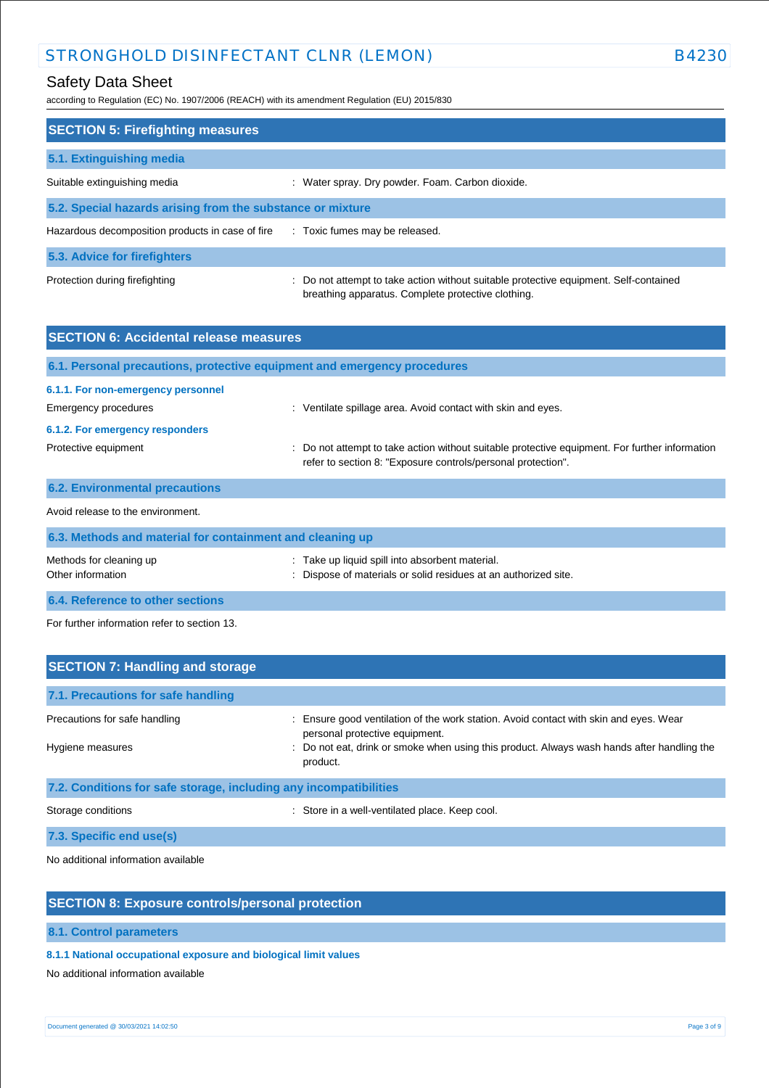# Safety Data Sheet

according to Regulation (EC) No. 1907/2006 (REACH) with its amendment Regulation (EU) 2015/830

| <b>SECTION 5: Firefighting measures</b>                    |                                                                                                                                             |  |
|------------------------------------------------------------|---------------------------------------------------------------------------------------------------------------------------------------------|--|
| 5.1. Extinguishing media                                   |                                                                                                                                             |  |
| Suitable extinguishing media                               | : Water spray. Dry powder. Foam. Carbon dioxide.                                                                                            |  |
| 5.2. Special hazards arising from the substance or mixture |                                                                                                                                             |  |
| Hazardous decomposition products in case of fire           | : Toxic fumes may be released.                                                                                                              |  |
| 5.3. Advice for firefighters                               |                                                                                                                                             |  |
| Protection during firefighting                             | : Do not attempt to take action without suitable protective equipment. Self-contained<br>breathing apparatus. Complete protective clothing. |  |

| <b>SECTION 6: Accidental release measures</b>                            |                                                                                                                                                                |  |
|--------------------------------------------------------------------------|----------------------------------------------------------------------------------------------------------------------------------------------------------------|--|
| 6.1. Personal precautions, protective equipment and emergency procedures |                                                                                                                                                                |  |
| 6.1.1. For non-emergency personnel<br>Emergency procedures               | : Ventilate spillage area. Avoid contact with skin and eyes.                                                                                                   |  |
| 6.1.2. For emergency responders<br>Protective equipment                  | : Do not attempt to take action without suitable protective equipment. For further information<br>refer to section 8: "Exposure controls/personal protection". |  |
| <b>6.2. Environmental precautions</b>                                    |                                                                                                                                                                |  |
| Avoid release to the environment.                                        |                                                                                                                                                                |  |
| 6.3. Methods and material for containment and cleaning up                |                                                                                                                                                                |  |
| Methods for cleaning up<br>Other information                             | Take up liquid spill into absorbent material.<br>Dispose of materials or solid residues at an authorized site.                                                 |  |

**6.4. Reference to other sections**

For further information refer to section 13.

| <b>SECTION 7: Handling and storage</b>                            |                                                                                                                                                                                                                                 |  |
|-------------------------------------------------------------------|---------------------------------------------------------------------------------------------------------------------------------------------------------------------------------------------------------------------------------|--|
| 7.1. Precautions for safe handling                                |                                                                                                                                                                                                                                 |  |
| Precautions for safe handling<br>Hygiene measures                 | Ensure good ventilation of the work station. Avoid contact with skin and eyes. Wear<br>personal protective equipment.<br>: Do not eat, drink or smoke when using this product. Always wash hands after handling the<br>product. |  |
| 7.2. Conditions for safe storage, including any incompatibilities |                                                                                                                                                                                                                                 |  |
| Storage conditions                                                | : Store in a well-ventilated place. Keep cool.                                                                                                                                                                                  |  |
| 7.3. Specific end use(s)                                          |                                                                                                                                                                                                                                 |  |

No additional information available

### **SECTION 8: Exposure controls/personal protection**

**8.1. Control parameters**

**8.1.1 National occupational exposure and biological limit values** 

No additional information available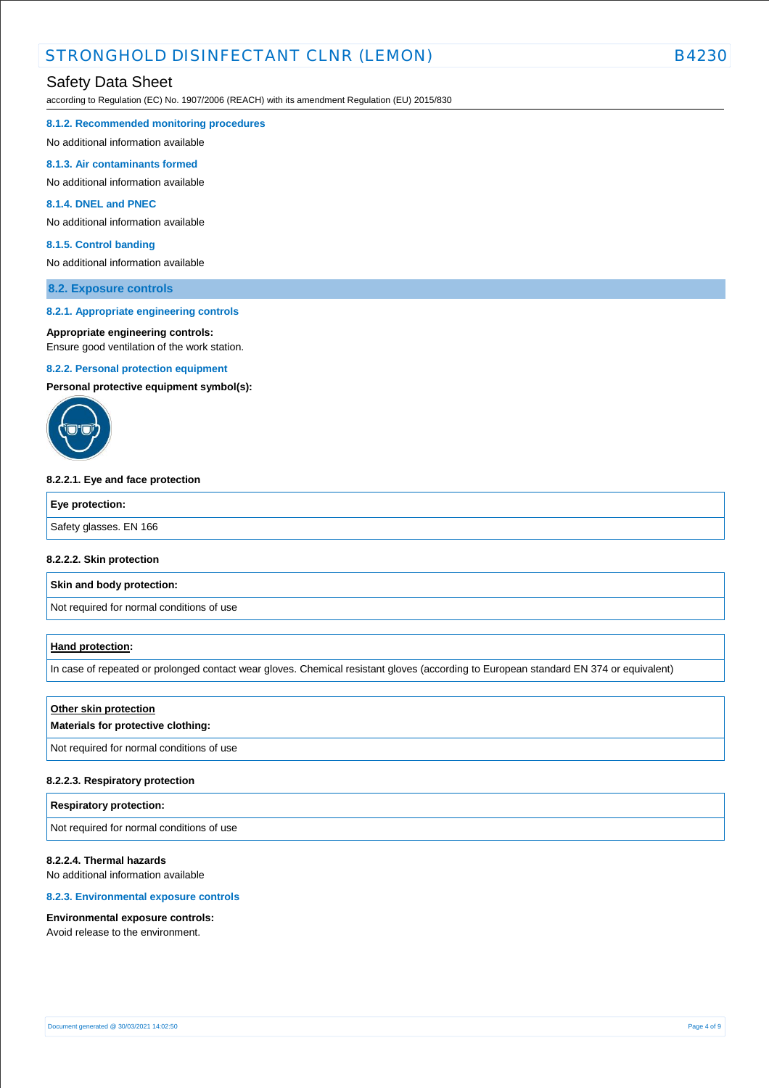according to Regulation (EC) No. 1907/2006 (REACH) with its amendment Regulation (EU) 2015/830

**8.1.2. Recommended monitoring procedures** 

No additional information available

#### **8.1.3. Air contaminants formed**

No additional information available

#### **8.1.4. DNEL and PNEC**

No additional information available

#### **8.1.5. Control banding**

No additional information available

#### **8.2. Exposure controls**

#### **8.2.1. Appropriate engineering controls**

#### **Appropriate engineering controls:**

Ensure good ventilation of the work station.

#### **8.2.2. Personal protection equipment**

**Personal protective equipment symbol(s):**



#### **8.2.2.1. Eye and face protection**

| Eye protection:        |  |
|------------------------|--|
| Safety glasses. EN 166 |  |

#### **8.2.2.2. Skin protection**

**Skin and body protection:**

Not required for normal conditions of use

#### **Hand protection:**

In case of repeated or prolonged contact wear gloves. Chemical resistant gloves (according to European standard EN 374 or equivalent)

### **Other skin protection**

### **Materials for protective clothing:**

Not required for normal conditions of use

#### **8.2.2.3. Respiratory protection**

#### **Respiratory protection:**

Not required for normal conditions of use

### **8.2.2.4. Thermal hazards**

No additional information available

#### **8.2.3. Environmental exposure controls**

#### **Environmental exposure controls:**

Avoid release to the environment.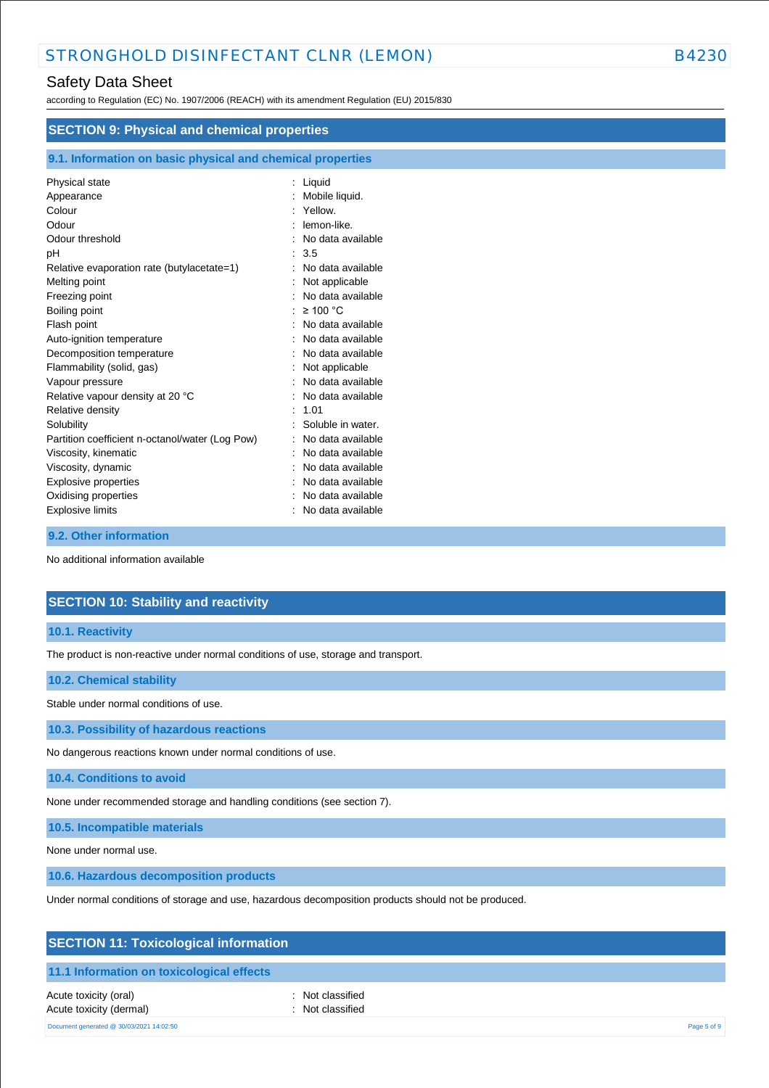according to Regulation (EC) No. 1907/2006 (REACH) with its amendment Regulation (EU) 2015/830

| <b>SECTION 9: Physical and chemical properties</b> |                   |  |
|----------------------------------------------------|-------------------|--|
|                                                    |                   |  |
| Physical state                                     | Liquid            |  |
| Appearance                                         | Mobile liquid.    |  |
| Colour                                             | Yellow.           |  |
| Odour                                              | lemon-like.       |  |
| Odour threshold                                    | No data available |  |
| рH                                                 | 3.5               |  |
| Relative evaporation rate (butylacetate=1)         | No data available |  |
| Melting point                                      | Not applicable    |  |
| Freezing point                                     | No data available |  |
| Boiling point                                      | $\geq$ 100 °C     |  |
| Flash point                                        | No data available |  |
| Auto-ignition temperature                          | No data available |  |
| Decomposition temperature                          | No data available |  |
| Flammability (solid, gas)                          | Not applicable    |  |
| Vapour pressure                                    | No data available |  |
| Relative vapour density at 20 °C                   | No data available |  |
| Relative density                                   | 1.01              |  |
| Solubility                                         | Soluble in water. |  |
| Partition coefficient n-octanol/water (Log Pow)    | No data available |  |
| Viscosity, kinematic                               | No data available |  |
| Viscosity, dynamic                                 | No data available |  |
| Explosive properties                               | No data available |  |
| Oxidising properties                               | No data available |  |
| Explosive limits                                   | No data available |  |

#### **9.2. Other information**

No additional information available

# **SECTION 10: Stability and reactivity**

#### **10.1. Reactivity**

The product is non-reactive under normal conditions of use, storage and transport.

#### **10.2. Chemical stability**

Stable under normal conditions of use.

**10.3. Possibility of hazardous reactions**

No dangerous reactions known under normal conditions of use.

**10.4. Conditions to avoid**

None under recommended storage and handling conditions (see section 7).

**10.5. Incompatible materials**

None under normal use.

**10.6. Hazardous decomposition products**

Under normal conditions of storage and use, hazardous decomposition products should not be produced.

# **SECTION 11: Toxicological information**

### **11.1 Information on toxicological effects**

Acute toxicity (oral) **interval** to the control of the control of the control of the control of the control of the control of the control of the control of the control of the control of the control of the control of the co Acute toxicity (dermal) **and in the case of the contract of the contract of the contract of the contract of the contract of the contract of the contract of the contract of the contract of the contract of the contract of th** 

Document generated @ 30/03/2021 14:02:50 Page 5 of 9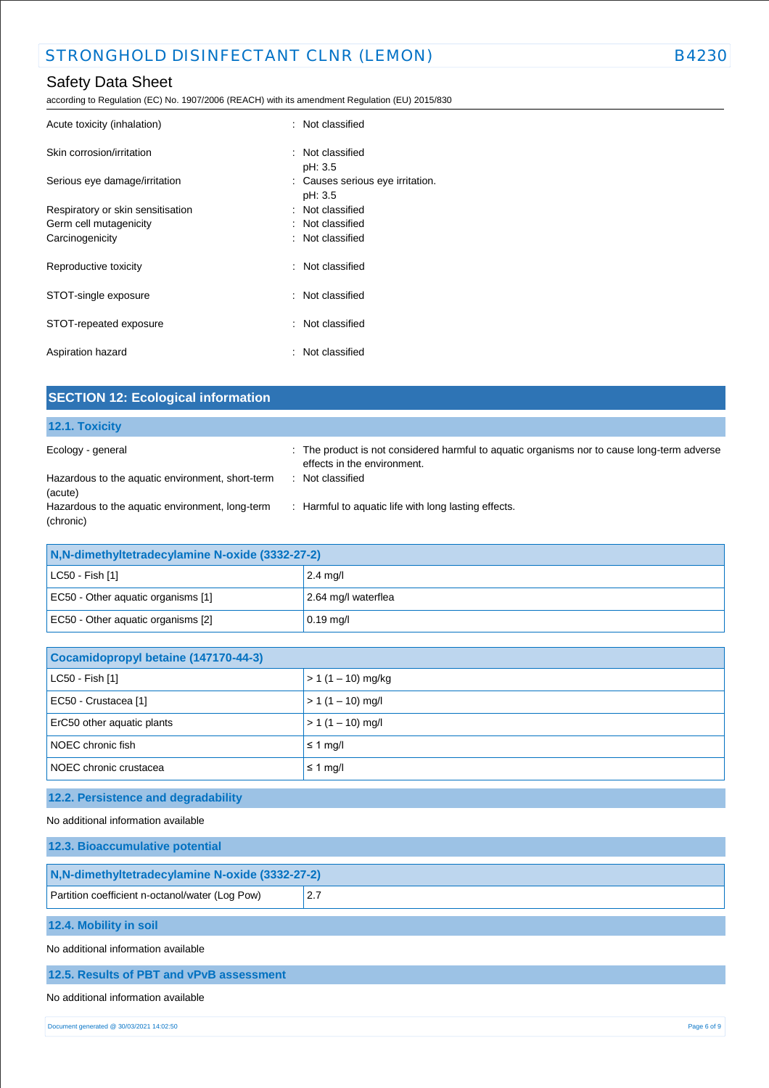according to Regulation (EC) No. 1907/2006 (REACH) with its amendment Regulation (EU) 2015/830

| Acute toxicity (inhalation)       | : Not classified                 |
|-----------------------------------|----------------------------------|
| Skin corrosion/irritation         | : Not classified                 |
|                                   | pH: 3.5                          |
| Serious eye damage/irritation     | : Causes serious eye irritation. |
|                                   | pH: 3.5                          |
| Respiratory or skin sensitisation | : Not classified                 |
| Germ cell mutagenicity            | : Not classified                 |
| Carcinogenicity                   | : Not classified                 |
| Reproductive toxicity             | : Not classified                 |
| STOT-single exposure              | : Not classified                 |
| STOT-repeated exposure            | : Not classified                 |
| Aspiration hazard                 | : Not classified                 |

| <b>SECTION 12: Ecological information</b>                    |                                                                                                                            |  |
|--------------------------------------------------------------|----------------------------------------------------------------------------------------------------------------------------|--|
| 12.1. Toxicity                                               |                                                                                                                            |  |
| Ecology - general                                            | : The product is not considered harmful to aquatic organisms nor to cause long-term adverse<br>effects in the environment. |  |
| Hazardous to the aquatic environment, short-term<br>(acute)  | : Not classified                                                                                                           |  |
| Hazardous to the aquatic environment, long-term<br>(chronic) | : Harmful to aquatic life with long lasting effects.                                                                       |  |
| N, N-dimethyltetradecylamine N-oxide (3332-27-2)             |                                                                                                                            |  |

| <b>TRAP CONTROLLY RELIGIOUS VIGHTING IN VALUE (UUULLE 1-4)</b> |                     |
|----------------------------------------------------------------|---------------------|
| $ $ LC50 - Fish [1]                                            | $2.4 \text{ mg}/I$  |
| EC50 - Other aquatic organisms [1]                             | 2.64 mg/l waterflea |
| EC50 - Other aquatic organisms [2]                             | $0.19 \text{ mg/l}$ |

| Cocamidopropyl betaine (147170-44-3) |  |
|--------------------------------------|--|
| $> 1 (1 - 10)$ mg/kg                 |  |
| $> 1 (1 - 10)$ mg/l                  |  |
| $> 1 (1 - 10)$ mg/l                  |  |
| $\leq 1$ mg/                         |  |
| $\leq 1$ mg/                         |  |
|                                      |  |

# **12.2. Persistence and degradability**

No additional information available

| 12.3. Bioaccumulative potential                 |     |  |
|-------------------------------------------------|-----|--|
| N,N-dimethyltetradecylamine N-oxide (3332-27-2) |     |  |
| Partition coefficient n-octanol/water (Log Pow) | 2.7 |  |
| 12.4. Mobility in soil                          |     |  |
| No additional information available             |     |  |
| 12.5. Results of PBT and vPvB assessment        |     |  |
|                                                 |     |  |

# No additional information available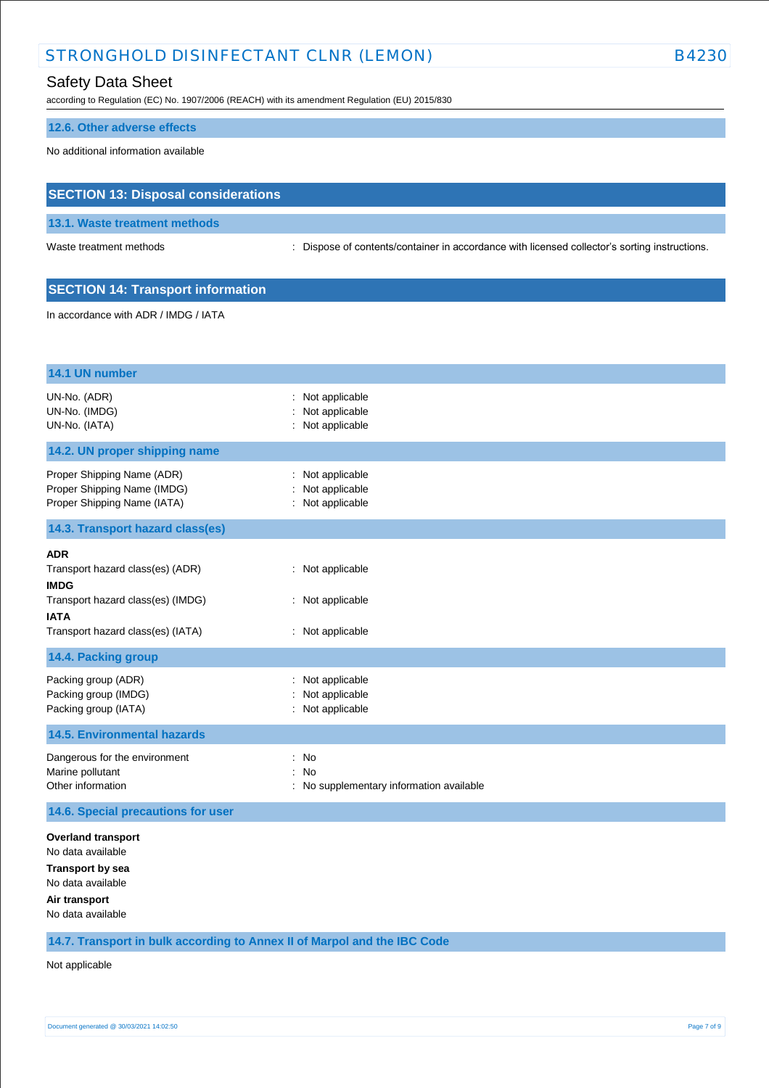# Safety Data Sheet

according to Regulation (EC) No. 1907/2006 (REACH) with its amendment Regulation (EU) 2015/830

#### **12.6. Other adverse effects**

No additional information available

# **SECTION 13: Disposal considerations**

**13.1. Waste treatment methods**

Waste treatment methods : Dispose of contents/container in accordance with licensed collector's sorting instructions.

### **SECTION 14: Transport information**

In accordance with ADR / IMDG / IATA

| 14.1 UN number                                                                                                                                                                                       |                                                                            |  |
|------------------------------------------------------------------------------------------------------------------------------------------------------------------------------------------------------|----------------------------------------------------------------------------|--|
| UN-No. (ADR)<br>UN-No. (IMDG)<br>UN-No. (IATA)                                                                                                                                                       | Not applicable<br>Not applicable<br>Not applicable                         |  |
| 14.2. UN proper shipping name                                                                                                                                                                        |                                                                            |  |
| Proper Shipping Name (ADR)<br>Proper Shipping Name (IMDG)<br>Proper Shipping Name (IATA)                                                                                                             | Not applicable<br>Not applicable<br>: Not applicable                       |  |
| 14.3. Transport hazard class(es)                                                                                                                                                                     |                                                                            |  |
| <b>ADR</b><br>Transport hazard class(es) (ADR)<br><b>IMDG</b><br>Transport hazard class(es) (IMDG)<br><b>IATA</b><br>Transport hazard class(es) (IATA)<br>14.4. Packing group<br>Packing group (ADR) | : Not applicable<br>: Not applicable<br>: Not applicable<br>Not applicable |  |
| Packing group (IMDG)<br>Packing group (IATA)                                                                                                                                                         | Not applicable<br>Not applicable                                           |  |
| <b>14.5. Environmental hazards</b>                                                                                                                                                                   |                                                                            |  |
| Dangerous for the environment<br>Marine pollutant<br>Other information                                                                                                                               | No<br>÷<br><b>No</b><br>: No supplementary information available           |  |
| 14.6. Special precautions for user                                                                                                                                                                   |                                                                            |  |
| <b>Overland transport</b><br>No data available                                                                                                                                                       |                                                                            |  |

**Transport by sea**

No data available **Air transport**

No data available

**14.7. Transport in bulk according to Annex II of Marpol and the IBC Code**

Not applicable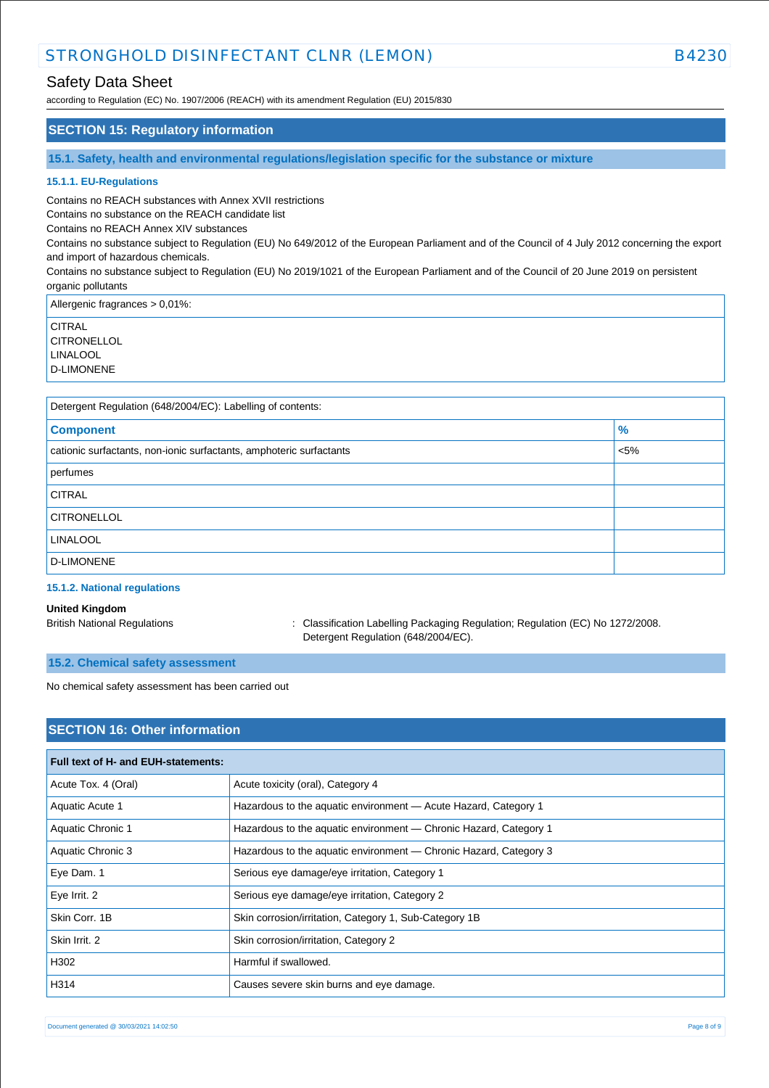# Safety Data Sheet

according to Regulation (EC) No. 1907/2006 (REACH) with its amendment Regulation (EU) 2015/830

### **SECTION 15: Regulatory information**

**15.1. Safety, health and environmental regulations/legislation specific for the substance or mixture**

#### **15.1.1. EU-Regulations**

Contains no REACH substances with Annex XVII restrictions

Contains no substance on the REACH candidate list

Contains no REACH Annex XIV substances

Contains no substance subject to Regulation (EU) No 649/2012 of the European Parliament and of the Council of 4 July 2012 concerning the export and import of hazardous chemicals.

Contains no substance subject to Regulation (EU) No 2019/1021 of the European Parliament and of the Council of 20 June 2019 on persistent organic pollutants

Allergenic fragrances > 0,01%:

**CITRAL CITRONELLOL** LINALOOL

D-LIMONENE

| Detergent Regulation (648/2004/EC): Labelling of contents:          |         |  |
|---------------------------------------------------------------------|---------|--|
| <b>Component</b>                                                    | $\%$    |  |
| cationic surfactants, non-ionic surfactants, amphoteric surfactants | $< 5\%$ |  |
| perfumes                                                            |         |  |
| <b>CITRAL</b>                                                       |         |  |
| <b>CITRONELLOL</b>                                                  |         |  |
| <b>LINALOOL</b>                                                     |         |  |
| D-LIMONENE                                                          |         |  |
|                                                                     |         |  |

### **15.1.2. National regulations**

#### **United Kingdom**

British National Regulations : Classification Labelling Packaging Regulation; Regulation (EC) No 1272/2008. Detergent Regulation (648/2004/EC).

#### **15.2. Chemical safety assessment**

No chemical safety assessment has been carried out

# **SECTION 16: Other information**

| Full text of H- and EUH-statements: |                                                                   |  |
|-------------------------------------|-------------------------------------------------------------------|--|
| Acute Tox. 4 (Oral)                 | Acute toxicity (oral), Category 4                                 |  |
| Aquatic Acute 1                     | Hazardous to the aquatic environment - Acute Hazard, Category 1   |  |
| <b>Aquatic Chronic 1</b>            | Hazardous to the aquatic environment - Chronic Hazard, Category 1 |  |
| Aquatic Chronic 3                   | Hazardous to the aquatic environment — Chronic Hazard, Category 3 |  |
| Eye Dam. 1                          | Serious eye damage/eye irritation, Category 1                     |  |
| Eye Irrit. 2                        | Serious eye damage/eye irritation, Category 2                     |  |
| Skin Corr. 1B                       | Skin corrosion/irritation, Category 1, Sub-Category 1B            |  |
| Skin Irrit, 2                       | Skin corrosion/irritation, Category 2                             |  |
| H302                                | Harmful if swallowed.                                             |  |
| H314                                | Causes severe skin burns and eye damage.                          |  |